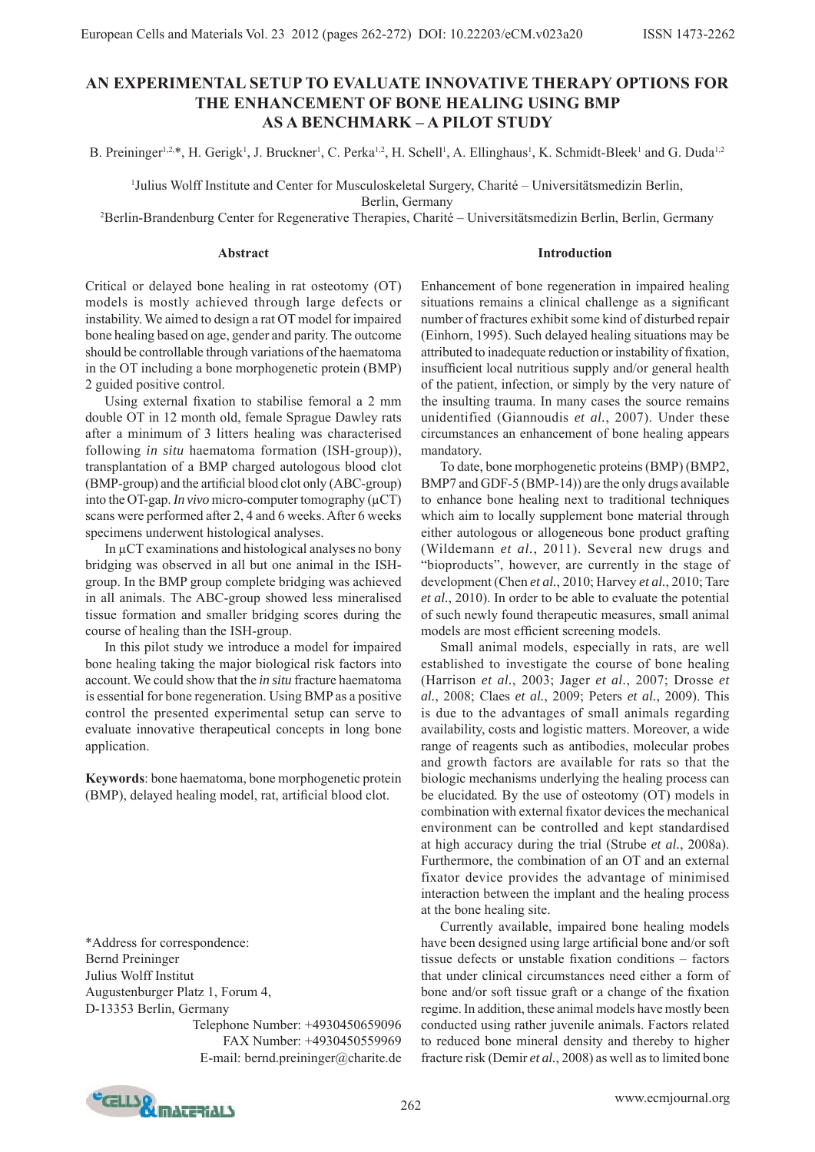# **AN EXPERIMENTAL SETUP TO EVALUATE INNOVATIVE THERAPY OPTIONS FOR THE ENHANCEMENT OF BONE HEALING USING BMP AS A BENCHMARK – A PILOT STUDY**

B. Preininger<sup>1,2,\*</sup>, H. Gerigk<sup>1</sup>, J. Bruckner<sup>1</sup>, C. Perka<sup>1,2</sup>, H. Schell<sup>1</sup>, A. Ellinghaus<sup>1</sup>, K. Schmidt-Bleek<sup>1</sup> and G. Duda<sup>1,2</sup>

1 Julius Wolff Institute and Center for Musculoskeletal Surgery, Charité – Universitätsmedizin Berlin,

Berlin, Germany

2 Berlin-Brandenburg Center for Regenerative Therapies, Charité – Universitätsmedizin Berlin, Berlin, Germany

#### **Abstract**

**Introduction**

Critical or delayed bone healing in rat osteotomy (OT) models is mostly achieved through large defects or instability. We aimed to design a rat OT model for impaired bone healing based on age, gender and parity. The outcome should be controllable through variations of the haematoma in the OT including a bone morphogenetic protein (BMP) 2 guided positive control.

Using external fixation to stabilise femoral a 2 mm double OT in 12 month old, female Sprague Dawley rats after a minimum of 3 litters healing was characterised following *in situ* haematoma formation (ISH-group)), transplantation of a BMP charged autologous blood clot  $(BMP-group)$  and the artificial blood clot only  $(ABC-group)$ into the OT-gap. *In vivo* micro-computer tomography (μCT) scans were performed after 2, 4 and 6 weeks. After 6 weeks specimens underwent histological analyses.

 In μCT examinations and histological analyses no bony bridging was observed in all but one animal in the ISHgroup. In the BMP group complete bridging was achieved in all animals. The ABC-group showed less mineralised tissue formation and smaller bridging scores during the course of healing than the ISH-group.

 In this pilot study we introduce a model for impaired bone healing taking the major biological risk factors into account. We could show that the *in situ* fracture haematoma is essential for bone regeneration. Using BMP as a positive control the presented experimental setup can serve to evaluate innovative therapeutical concepts in long bone application.

**Keywords**: bone haematoma, bone morphogenetic protein (BMP), delayed healing model, rat, artificial blood clot.

\*Address for correspondence: Bernd Preininger Julius Wolff Institut Augustenburger Platz 1, Forum 4, D-13353 Berlin, Germany

Telephone Number: +4930450659096 FAX Number: +4930450559969 E-mail: bernd.preininger@charite.de Enhancement of bone regeneration in impaired healing situations remains a clinical challenge as a significant number of fractures exhibit some kind of disturbed repair (Einhorn, 1995). Such delayed healing situations may be attributed to inadequate reduction or instability of fixation, insufficient local nutritious supply and/or general health of the patient, infection, or simply by the very nature of the insulting trauma. In many cases the source remains unidentified (Giannoudis *et al.*, 2007). Under these circumstances an enhancement of bone healing appears mandatory.

 To date, bone morphogenetic proteins (BMP) (BMP2, BMP7 and GDF-5 (BMP-14)) are the only drugs available to enhance bone healing next to traditional techniques which aim to locally supplement bone material through either autologous or allogeneous bone product grafting (Wildemann *et al.*, 2011). Several new drugs and "bioproducts", however, are currently in the stage of development (Chen *et al.*, 2010; Harvey *et al.*, 2010; Tare *et al.*, 2010). In order to be able to evaluate the potential of such newly found therapeutic measures, small animal models are most efficient screening models.

 Small animal models, especially in rats, are well established to investigate the course of bone healing (Harrison *et al.*, 2003; Jager *et al.*, 2007; Drosse *et al.*, 2008; Claes *et al.*, 2009; Peters *et al.*, 2009). This is due to the advantages of small animals regarding availability, costs and logistic matters. Moreover, a wide range of reagents such as antibodies, molecular probes and growth factors are available for rats so that the biologic mechanisms underlying the healing process can be elucidated*.* By the use of osteotomy (OT) models in combination with external fixator devices the mechanical environment can be controlled and kept standardised at high accuracy during the trial (Strube *et al.*, 2008a). Furthermore, the combination of an OT and an external fixator device provides the advantage of minimised interaction between the implant and the healing process at the bone healing site.

 Currently available, impaired bone healing models have been designed using large artificial bone and/or soft tissue defects or unstable fixation conditions – factors that under clinical circumstances need either a form of bone and/or soft tissue graft or a change of the fixation regime. In addition, these animal models have mostly been conducted using rather juvenile animals. Factors related to reduced bone mineral density and thereby to higher fracture risk (Demir *et al.*, 2008) as well as to limited bone

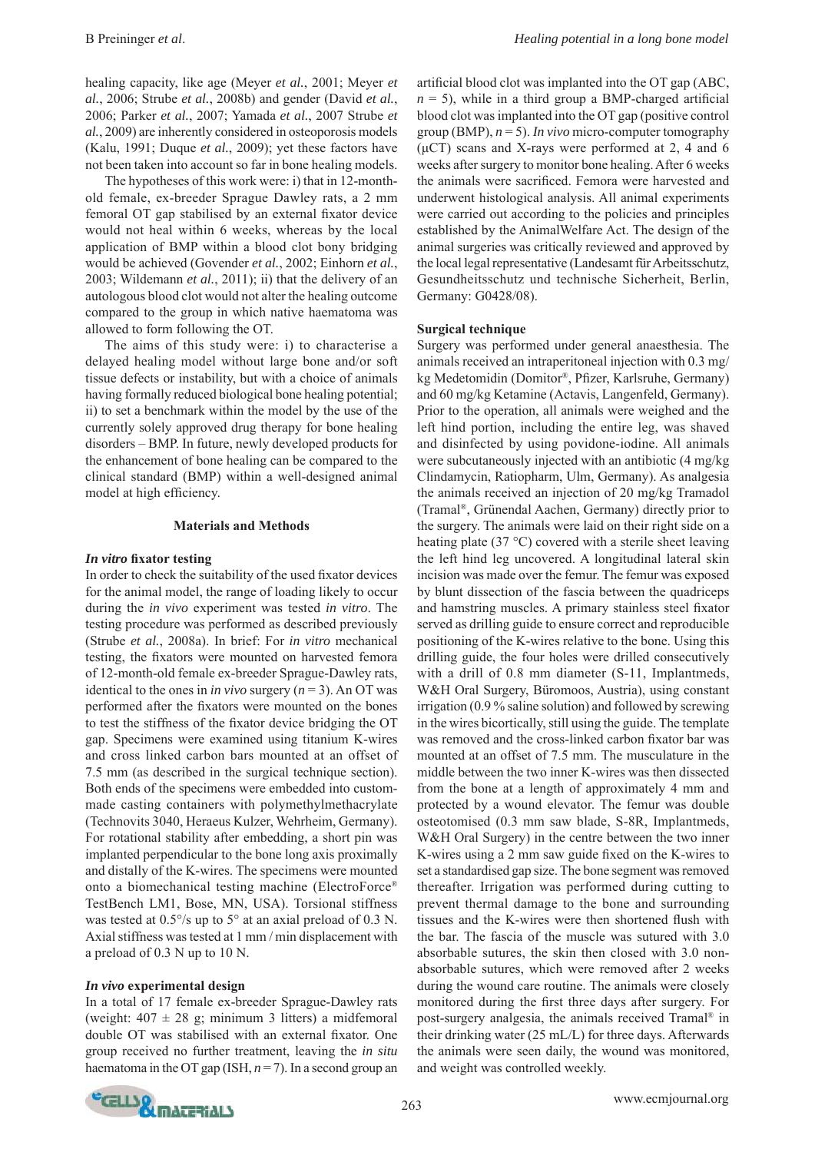healing capacity, like age (Meyer *et al.*, 2001; Meyer *et al.*, 2006; Strube *et al.*, 2008b) and gender (David *et al.*, 2006; Parker *et al.*, 2007; Yamada *et al.*, 2007 Strube *et al.*, 2009) are inherently considered in osteoporosis models (Kalu, 1991; Duque *et al.*, 2009); yet these factors have not been taken into account so far in bone healing models.

 The hypotheses of this work were: i) that in 12-monthold female, ex-breeder Sprague Dawley rats, a 2 mm femoral OT gap stabilised by an external fixator device would not heal within 6 weeks, whereas by the local application of BMP within a blood clot bony bridging would be achieved (Govender *et al.*, 2002; Einhorn *et al.*, 2003; Wildemann *et al.*, 2011); ii) that the delivery of an autologous blood clot would not alter the healing outcome compared to the group in which native haematoma was allowed to form following the OT.

 The aims of this study were: i) to characterise a delayed healing model without large bone and/or soft tissue defects or instability, but with a choice of animals having formally reduced biological bone healing potential; ii) to set a benchmark within the model by the use of the currently solely approved drug therapy for bone healing disorders – BMP. In future, newly developed products for the enhancement of bone healing can be compared to the clinical standard (BMP) within a well-designed animal model at high efficiency.

### **Materials and Methods**

### *In vitro* fixator testing

In order to check the suitability of the used fixator devices for the animal model, the range of loading likely to occur during the *in vivo* experiment was tested *in vitro*. The testing procedure was performed as described previously (Strube *et al.*, 2008a). In brief: For *in vitro* mechanical testing, the fixators were mounted on harvested femora of 12-month-old female ex-breeder Sprague-Dawley rats, identical to the ones in *in vivo* surgery  $(n = 3)$ . An OT was performed after the fixators were mounted on the bones to test the stiffness of the fixator device bridging the OT gap. Specimens were examined using titanium K-wires and cross linked carbon bars mounted at an offset of 7.5 mm (as described in the surgical technique section). Both ends of the specimens were embedded into custommade casting containers with polymethylmethacrylate (Technovits 3040, Heraeus Kulzer, Wehrheim, Germany). For rotational stability after embedding, a short pin was implanted perpendicular to the bone long axis proximally and distally of the K-wires. The specimens were mounted onto a biomechanical testing machine (ElectroForce® TestBench LM1, Bose, MN, USA). Torsional stiffness was tested at 0.5°/s up to 5° at an axial preload of 0.3 N. Axial stiffness was tested at 1 mm / min displacement with a preload of 0.3 N up to 10 N.

# *In vivo* **experimental design**

In a total of 17 female ex-breeder Sprague-Dawley rats (weight:  $407 \pm 28$  g; minimum 3 litters) a midfemoral double OT was stabilised with an external fixator. One group received no further treatment, leaving the *in situ* haematoma in the OT gap (ISH, *n* = 7). In a second group an artificial blood clot was implanted into the OT gap (ABC,  $n = 5$ ), while in a third group a BMP-charged artificial blood clot was implanted into the OT gap (positive control group (BMP), *n* = 5). *In vivo* micro-computer tomography  $(\mu$ CT) scans and X-rays were performed at 2, 4 and 6 weeks after surgery to monitor bone healing. After 6 weeks the animals were sacrificed. Femora were harvested and underwent histological analysis. All animal experiments were carried out according to the policies and principles established by the AnimalWelfare Act. The design of the animal surgeries was critically reviewed and approved by the local legal representative (Landesamt für Arbeitsschutz, Gesundheitsschutz und technische Sicherheit, Berlin, Germany: G0428/08).

### **Surgical technique**

Surgery was performed under general anaesthesia. The animals received an intraperitoneal injection with 0.3 mg/ kg Medetomidin (Domitor®, Pfizer, Karlsruhe, Germany) and 60 mg/kg Ketamine (Actavis, Langenfeld, Germany). Prior to the operation, all animals were weighed and the left hind portion, including the entire leg, was shaved and disinfected by using povidone-iodine. All animals were subcutaneously injected with an antibiotic (4 mg/kg Clindamycin, Ratiopharm, Ulm, Germany). As analgesia the animals received an injection of 20 mg/kg Tramadol (Tramal®, Grünendal Aachen, Germany) directly prior to the surgery. The animals were laid on their right side on a heating plate (37 °C) covered with a sterile sheet leaving the left hind leg uncovered. A longitudinal lateral skin incision was made over the femur. The femur was exposed by blunt dissection of the fascia between the quadriceps and hamstring muscles. A primary stainless steel fixator served as drilling guide to ensure correct and reproducible positioning of the K-wires relative to the bone. Using this drilling guide, the four holes were drilled consecutively with a drill of 0.8 mm diameter (S-11, Implantmeds, W&H Oral Surgery, Büromoos, Austria), using constant irrigation (0.9 % saline solution) and followed by screwing in the wires bicortically, still using the guide. The template was removed and the cross-linked carbon fixator bar was mounted at an offset of 7.5 mm. The musculature in the middle between the two inner K-wires was then dissected from the bone at a length of approximately 4 mm and protected by a wound elevator. The femur was double osteotomised (0.3 mm saw blade, S-8R, Implantmeds, W&H Oral Surgery) in the centre between the two inner K-wires using a 2 mm saw guide fixed on the K-wires to set a standardised gap size. The bone segment was removed thereafter. Irrigation was performed during cutting to prevent thermal damage to the bone and surrounding tissues and the K-wires were then shortened flush with the bar. The fascia of the muscle was sutured with 3.0 absorbable sutures, the skin then closed with 3.0 nonabsorbable sutures, which were removed after 2 weeks during the wound care routine. The animals were closely monitored during the first three days after surgery. For post-surgery analgesia, the animals received Tramal® in their drinking water (25 mL/L) for three days. Afterwards the animals were seen daily, the wound was monitored, and weight was controlled weekly.

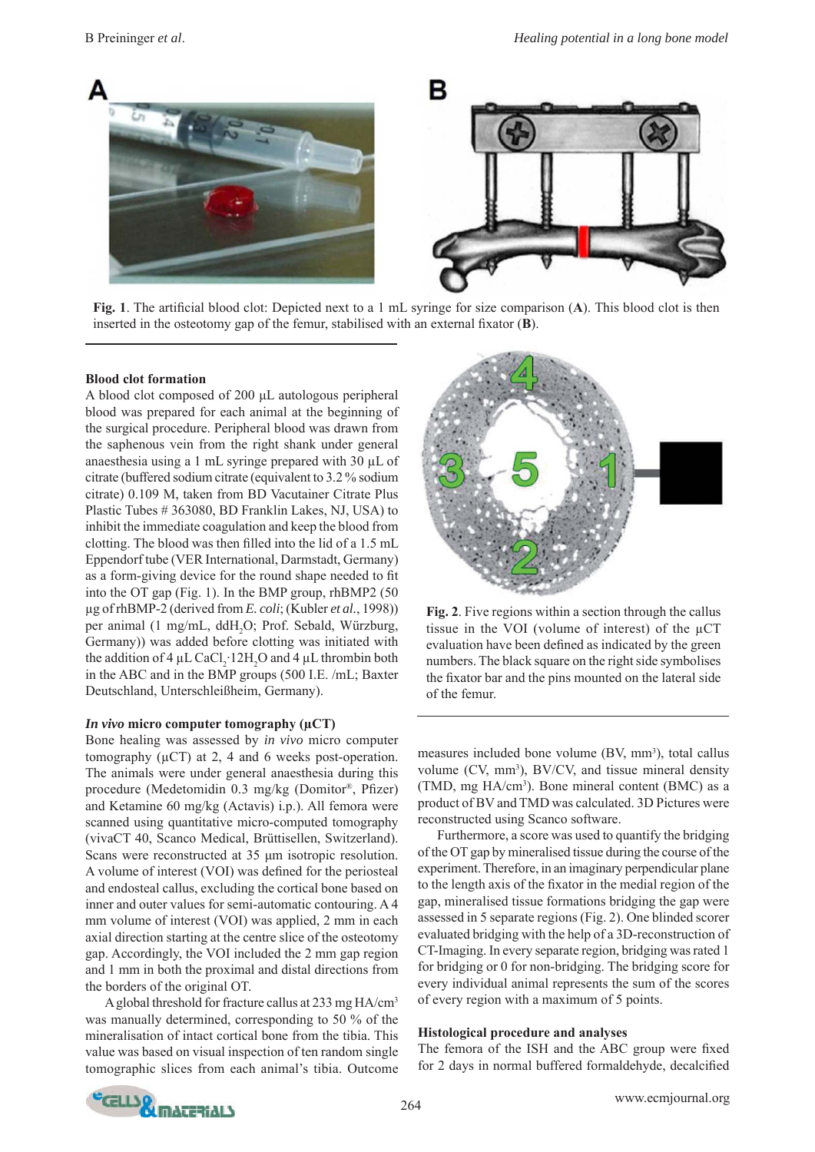

**Fig. 1**. The artificial blood clot: Depicted next to a 1 mL syringe for size comparison (A). This blood clot is then inserted in the osteotomy gap of the femur, stabilised with an external fixator  $(B)$ .

### **Blood clot formation**

A blood clot composed of 200 μL autologous peripheral blood was prepared for each animal at the beginning of the surgical procedure. Peripheral blood was drawn from the saphenous vein from the right shank under general anaesthesia using a 1 mL syringe prepared with 30 μL of citrate (buffered sodium citrate (equivalent to 3.2 % sodium citrate) 0.109 M, taken from BD Vacutainer Citrate Plus Plastic Tubes # 363080, BD Franklin Lakes, NJ, USA) to inhibit the immediate coagulation and keep the blood from clotting. The blood was then filled into the lid of a 1.5 mL Eppendorf tube (VER International, Darmstadt, Germany) as a form-giving device for the round shape needed to fit into the OT gap (Fig. 1). In the BMP group, rhBMP2 (50 μg of rhBMP-2 (derived from *E. coli*; (Kubler *et al.*, 1998)) per animal (1 mg/mL, ddH<sub>2</sub>O; Prof. Sebald, Würzburg, Germany)) was added before clotting was initiated with the addition of  $4 \mu L$  CaCl<sub>2</sub>·12H<sub>2</sub>O and  $4 \mu L$  thrombin both in the ABC and in the BMP groups (500 I.E. /mL; Baxter Deutschland, Unterschleißheim, Germany).

#### *In vivo* **micro computer tomography (μCT)**

Bone healing was assessed by *in vivo* micro computer tomography (μCT) at 2, 4 and 6 weeks post-operation. The animals were under general anaesthesia during this procedure (Medetomidin 0.3 mg/kg (Domitor®, Pfizer) and Ketamine 60 mg/kg (Actavis) i.p.). All femora were scanned using quantitative micro-computed tomography (vivaCT 40, Scanco Medical, Brüttisellen, Switzerland). Scans were reconstructed at 35 μm isotropic resolution. A volume of interest (VOI) was defined for the periosteal and endosteal callus, excluding the cortical bone based on inner and outer values for semi-automatic contouring. A 4 mm volume of interest (VOI) was applied, 2 mm in each axial direction starting at the centre slice of the osteotomy gap. Accordingly, the VOI included the 2 mm gap region and 1 mm in both the proximal and distal directions from the borders of the original OT.

 A global threshold for fracture callus at 233 mg HA/cm3 was manually determined, corresponding to 50 % of the mineralisation of intact cortical bone from the tibia. This value was based on visual inspection of ten random single tomographic slices from each animal's tibia. Outcome



**Fig. 2**. Five regions within a section through the callus tissue in the VOI (volume of interest) of the μCT evaluation have been defined as indicated by the green numbers. The black square on the right side symbolises the fixator bar and the pins mounted on the lateral side of the femur.

measures included bone volume (BV, mm<sup>3</sup>), total callus volume (CV, mm<sup>3</sup>), BV/CV, and tissue mineral density (TMD, mg HA/cm<sup>3</sup>). Bone mineral content (BMC) as a product of BV and TMD was calculated. 3D Pictures were reconstructed using Scanco software.

 Furthermore, a score was used to quantify the bridging of the OT gap by mineralised tissue during the course of the experiment. Therefore, in an imaginary perpendicular plane to the length axis of the fixator in the medial region of the gap, mineralised tissue formations bridging the gap were assessed in 5 separate regions (Fig. 2). One blinded scorer evaluated bridging with the help of a 3D-reconstruction of CT-Imaging. In every separate region, bridging was rated 1 for bridging or 0 for non-bridging. The bridging score for every individual animal represents the sum of the scores of every region with a maximum of 5 points.

# **Histological procedure and analyses**

The femora of the ISH and the ABC group were fixed for 2 days in normal buffered formaldehyde, decalcified

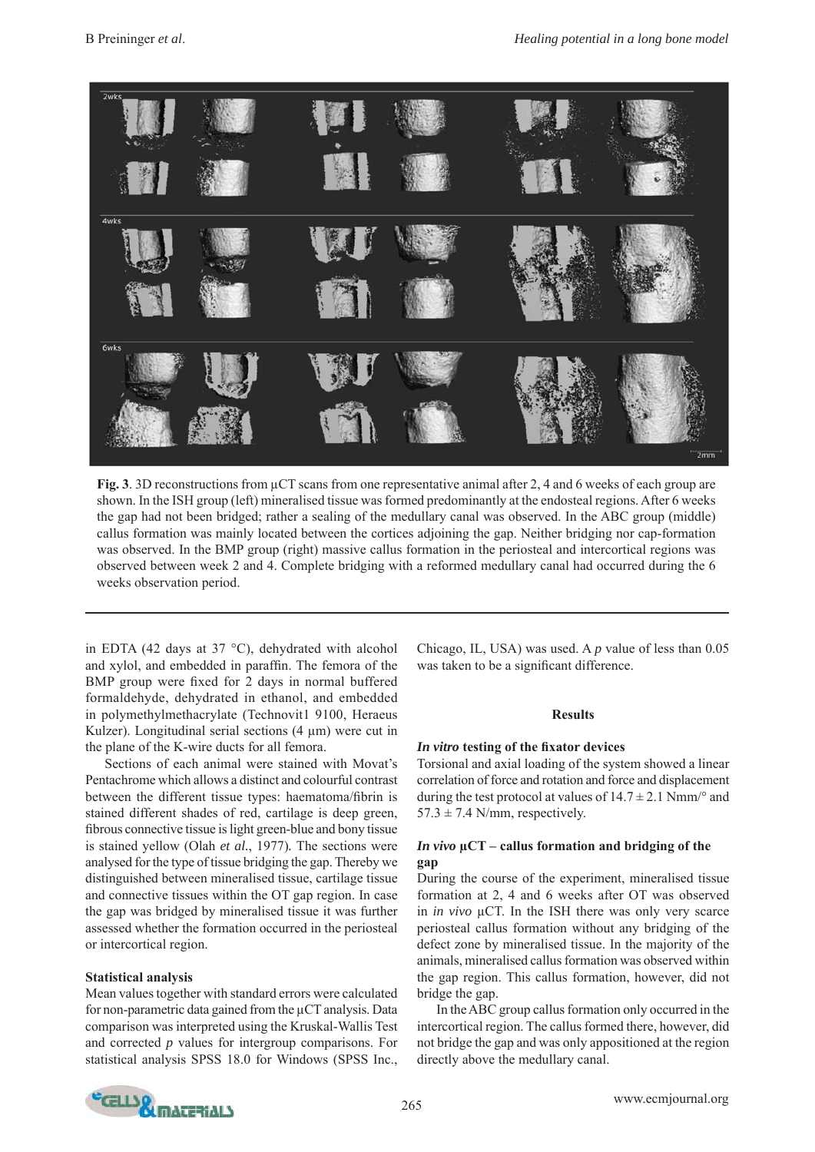

**Fig. 3**. 3D reconstructions from μCT scans from one representative animal after 2, 4 and 6 weeks of each group are shown. In the ISH group (left) mineralised tissue was formed predominantly at the endosteal regions. After 6 weeks the gap had not been bridged; rather a sealing of the medullary canal was observed. In the ABC group (middle) callus formation was mainly located between the cortices adjoining the gap. Neither bridging nor cap-formation was observed. In the BMP group (right) massive callus formation in the periosteal and intercortical regions was observed between week 2 and 4. Complete bridging with a reformed medullary canal had occurred during the 6 weeks observation period.

in EDTA (42 days at 37 °C), dehydrated with alcohol and xylol, and embedded in paraffin. The femora of the BMP group were fixed for 2 days in normal buffered formaldehyde, dehydrated in ethanol, and embedded in polymethylmethacrylate (Technovit1 9100, Heraeus Kulzer). Longitudinal serial sections  $(4 \mu m)$  were cut in the plane of the K-wire ducts for all femora.

 Sections of each animal were stained with Movat's Pentachrome which allows a distinct and colourful contrast between the different tissue types: haematoma/fibrin is stained different shades of red, cartilage is deep green, fibrous connective tissue is light green-blue and bony tissue is stained yellow (Olah *et al.*, 1977)*.* The sections were analysed for the type of tissue bridging the gap. Thereby we distinguished between mineralised tissue, cartilage tissue and connective tissues within the OT gap region. In case the gap was bridged by mineralised tissue it was further assessed whether the formation occurred in the periosteal or intercortical region.

# **Statistical analysis**

Mean values together with standard errors were calculated for non-parametric data gained from the μCT analysis. Data comparison was interpreted using the Kruskal-Wallis Test and corrected *p* values for intergroup comparisons. For statistical analysis SPSS 18.0 for Windows (SPSS Inc., Chicago, IL, USA) was used. A *p* value of less than 0.05 was taken to be a significant difference.

# **Results**

# *In vitro testing of the fixator devices*

Torsional and axial loading of the system showed a linear correlation of force and rotation and force and displacement during the test protocol at values of  $14.7 \pm 2.1$  Nmm/ $\degree$  and  $57.3 \pm 7.4$  N/mm, respectively.

# *In vivo* **μCT – callus formation and bridging of the gap**

During the course of the experiment, mineralised tissue formation at 2, 4 and 6 weeks after OT was observed in *in vivo* μCT. In the ISH there was only very scarce periosteal callus formation without any bridging of the defect zone by mineralised tissue. In the majority of the animals, mineralised callus formation was observed within the gap region. This callus formation, however, did not bridge the gap.

 In the ABC group callus formation only occurred in the intercortical region. The callus formed there, however, did not bridge the gap and was only appositioned at the region directly above the medullary canal.

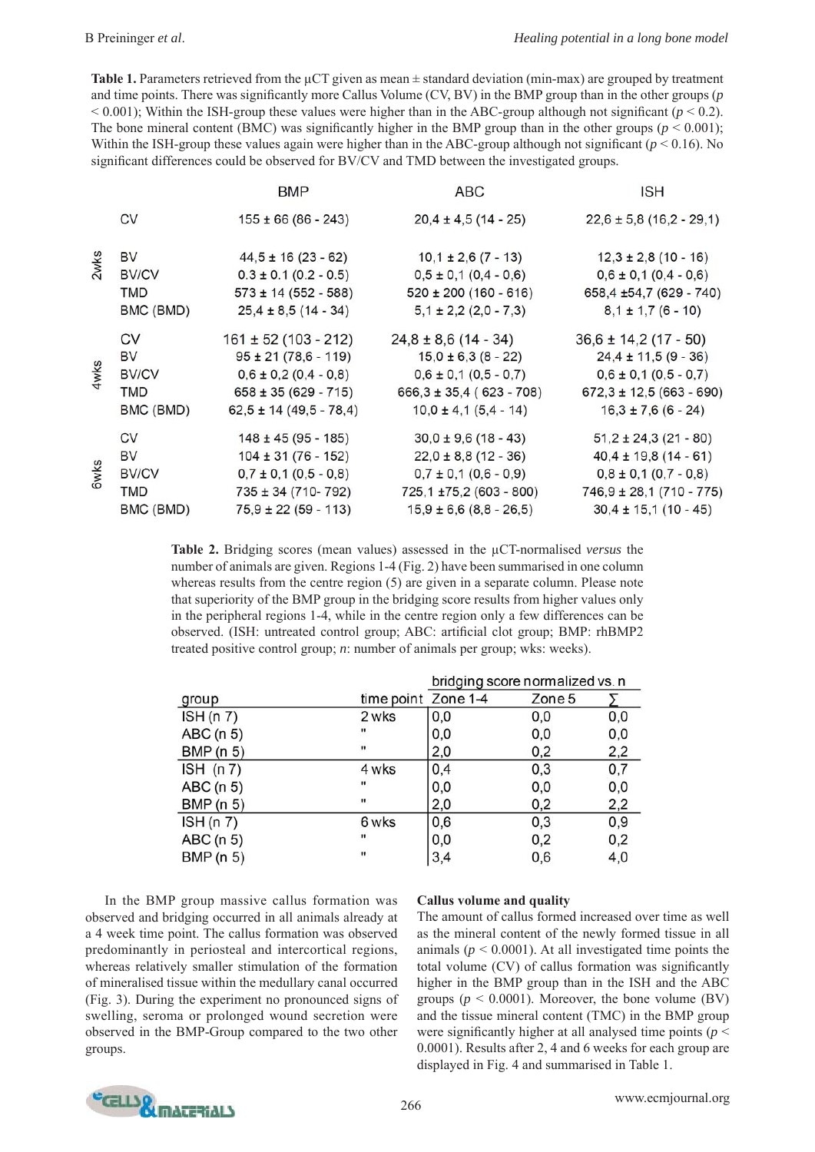**Table 1.** Parameters retrieved from the μCT given as mean ± standard deviation (min-max) are grouped by treatment and time points. There was significantly more Callus Volume (CV, BV) in the BMP group than in the other groups (*p*  $< 0.001$ ); Within the ISH-group these values were higher than in the ABC-group although not significant ( $p < 0.2$ ). The bone mineral content (BMC) was significantly higher in the BMP group than in the other groups ( $p < 0.001$ ); Within the ISH-group these values again were higher than in the ABC-group although not significant ( $p < 0.16$ ). No significant differences could be observed for BV/CV and TMD between the investigated groups.

|             |              | BMP                         | <b>ABC</b>                   | <b>ISH</b>                  |
|-------------|--------------|-----------------------------|------------------------------|-----------------------------|
|             | CV           | $155 \pm 66 (86 - 243)$     | $20,4 \pm 4,5(14 - 25)$      | $22,6 \pm 5,8(16,2 - 29,1)$ |
| 2wks        | BV           | $44,5 \pm 16 (23 - 62)$     | $10,1 \pm 2,6(7 - 13)$       | $12,3 \pm 2,8$ (10 - 16)    |
|             | <b>BV/CV</b> | $0.3 \pm 0.1$ (0.2 - 0.5)   | $0,5 \pm 0,1$ (0,4 - 0,6)    | $0,6 \pm 0,1$ $(0,4 - 0,6)$ |
|             | <b>TMD</b>   | $573 \pm 14 (552 - 588)$    | $520 \pm 200 (160 - 616)$    | 658,4 ±54,7 (629 - 740)     |
|             | BMC (BMD)    | $25,4 \pm 8,5(14 - 34)$     | $5,1 \pm 2,2(2,0 - 7,3)$     | $8,1 \pm 1,7(6 - 10)$       |
| 4wks        | CV           | $161 \pm 52$ (103 - 212)    | $24,8 \pm 8,6$ (14 - 34)     | $36,6 \pm 14,2(17 - 50)$    |
|             | BV           | $95 \pm 21 (78, 6 - 119)$   | $15,0 \pm 6,3 (8 - 22)$      | $24,4 \pm 11,5(9 - 36)$     |
|             | <b>BV/CV</b> | $0,6 \pm 0,2(0,4 - 0,8)$    | $0,6 \pm 0,1$ (0,5 - 0,7)    | $0,6 \pm 0,1$ (0,5 - 0,7)   |
|             | TMD          | $658 \pm 35 (629 - 715)$    | $666,3 \pm 35,4 (623 - 708)$ | $672,3 \pm 12,5(663 - 690)$ |
|             | BMC (BMD)    | $62,5 \pm 14 (49,5 - 78,4)$ | $10,0 \pm 4,1(5,4 - 14)$     | $16,3 \pm 7,6(6 - 24)$      |
| <b>Gwks</b> | CV           | $148 \pm 45 (95 - 185)$     | $30,0 \pm 9,6(18 - 43)$      | $51,2 \pm 24,3(21 - 80)$    |
|             | BV           | $104 \pm 31 (76 - 152)$     | $22,0 \pm 8,8(12 - 36)$      | $40,4 \pm 19,8(14 - 61)$    |
|             | <b>BV/CV</b> | $0,7 \pm 0,1$ (0,5 - 0,8)   | $0,7 \pm 0,1$ (0,6 - 0,9)    | $0,8 \pm 0,1$ (0,7 - 0,8)   |
|             | <b>TMD</b>   | $735 \pm 34 (710 - 792)$    | 725,1 ±75,2 (603 - 800)      | $746,9 \pm 28,1(710 - 775)$ |
|             | BMC (BMD)    | $75,9 \pm 22 (59 - 113)$    | $15,9 \pm 6,6 (8,8 - 26,5)$  | $30,4 \pm 15,1(10 - 45)$    |

**Table 2.** Bridging scores (mean values) assessed in the μCT-normalised *versus* the number of animals are given. Regions 1-4 (Fig. 2) have been summarised in one column whereas results from the centre region (5) are given in a separate column. Please note that superiority of the BMP group in the bridging score results from higher values only in the peripheral regions 1-4, while in the centre region only a few differences can be observed. (ISH: untreated control group; ABC: artificial clot group; BMP: rhBMP2 treated positive control group; *n*: number of animals per group; wks: weeks).

|           |                     | bridging score normalized vs. n |        |     |
|-----------|---------------------|---------------------------------|--------|-----|
| group     | time point Zone 1-4 |                                 | Zone 5 |     |
| ISH(n 7)  | 2 wks               | 0,0                             | 0,0    | 0,0 |
| ABC(n 5)  | n                   | 0,0                             | 0,0    | 0,0 |
| BMP (n 5) | п                   | 2,0                             | 0,2    | 2,2 |
| ISH (n 7) | 4 wks               | 0,4                             | 0,3    | 0,7 |
| ABC (n 5) |                     | 0,0                             | 0,0    | 0,0 |
| BMP (n 5) | п.                  | 2,0                             | 0,2    | 2,2 |
| ISH(n 7)  | 6 wks               | 0,6                             | 0,3    | 0,9 |
| ABC(n 5)  |                     | 0,0                             | 0,2    | 0,2 |
| BMP (n 5) | п                   | 3,4                             | 0,6    | 4,0 |

 In the BMP group massive callus formation was observed and bridging occurred in all animals already at a 4 week time point. The callus formation was observed predominantly in periosteal and intercortical regions, whereas relatively smaller stimulation of the formation of mineralised tissue within the medullary canal occurred (Fig. 3). During the experiment no pronounced signs of swelling, seroma or prolonged wound secretion were observed in the BMP-Group compared to the two other groups.

# **Callus volume and quality**

The amount of callus formed increased over time as well as the mineral content of the newly formed tissue in all animals ( $p < 0.0001$ ). At all investigated time points the total volume (CV) of callus formation was significantly higher in the BMP group than in the ISH and the ABC groups ( $p \le 0.0001$ ). Moreover, the bone volume (BV) and the tissue mineral content (TMC) in the BMP group were significantly higher at all analysed time points ( $p <$ 0.0001). Results after 2, 4 and 6 weeks for each group are displayed in Fig. 4 and summarised in Table 1.

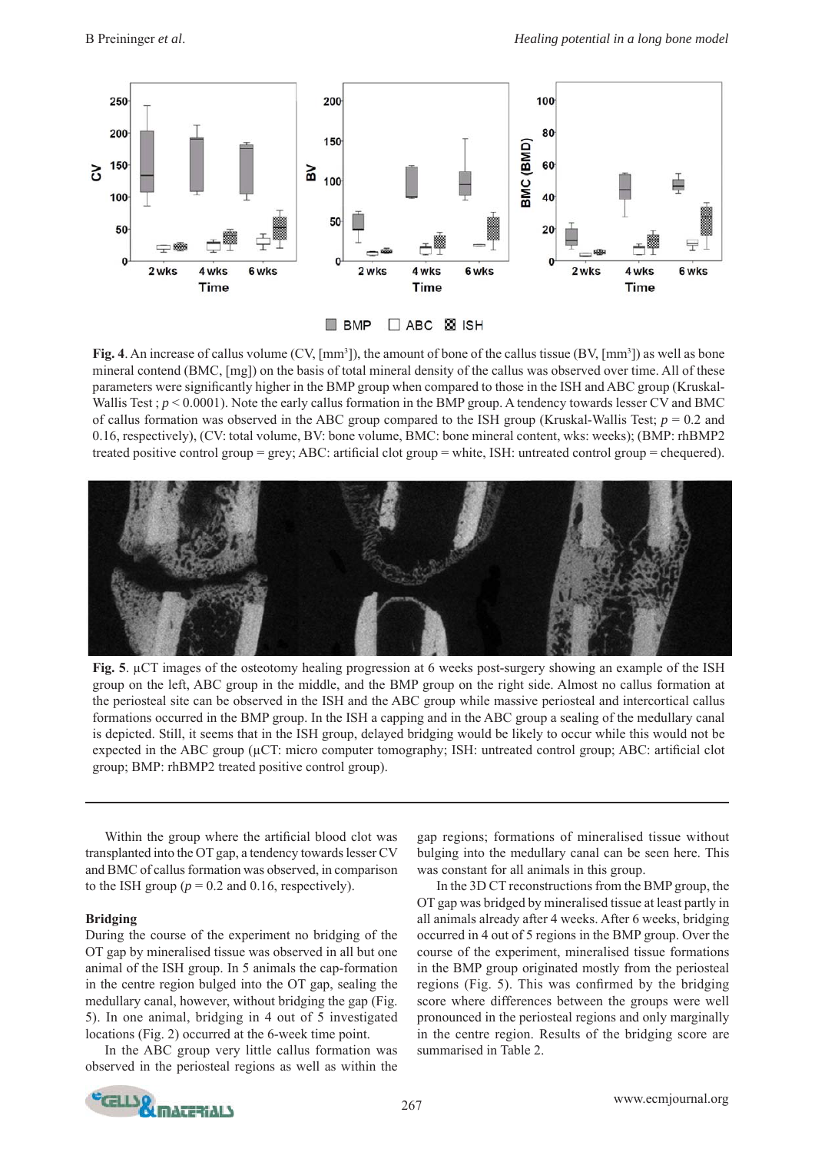

**Fig. 4.** An increase of callus volume  $(CV, [mm^3])$ , the amount of bone of the callus tissue  $(BV, [mm^3])$  as well as bone mineral contend (BMC, [mg]) on the basis of total mineral density of the callus was observed over time. All of these parameters were significantly higher in the BMP group when compared to those in the ISH and ABC group (Kruskal-Wallis Test ;  $p \le 0.0001$ ). Note the early callus formation in the BMP group. A tendency towards lesser CV and BMC of callus formation was observed in the ABC group compared to the ISH group (Kruskal-Wallis Test; *p* = 0.2 and 0.16, respectively), (CV: total volume, BV: bone volume, BMC: bone mineral content, wks: weeks); (BMP: rhBMP2 treated positive control group = grey; ABC: artificial clot group = white, ISH: untreated control group = chequered).



**Fig. 5**. μCT images of the osteotomy healing progression at 6 weeks post-surgery showing an example of the ISH group on the left, ABC group in the middle, and the BMP group on the right side. Almost no callus formation at the periosteal site can be observed in the ISH and the ABC group while massive periosteal and intercortical callus formations occurred in the BMP group. In the ISH a capping and in the ABC group a sealing of the medullary canal is depicted. Still, it seems that in the ISH group, delayed bridging would be likely to occur while this would not be expected in the ABC group (μCT: micro computer tomography; ISH: untreated control group; ABC: artificial clot group; BMP: rhBMP2 treated positive control group).

Within the group where the artificial blood clot was transplanted into the OT gap, a tendency towards lesser CV and BMC of callus formation was observed, in comparison to the ISH group ( $p = 0.2$  and 0.16, respectively).

# **Bridging**

During the course of the experiment no bridging of the OT gap by mineralised tissue was observed in all but one animal of the ISH group. In 5 animals the cap-formation in the centre region bulged into the OT gap, sealing the medullary canal, however, without bridging the gap (Fig. 5). In one animal, bridging in 4 out of 5 investigated locations (Fig. 2) occurred at the 6-week time point.

 In the ABC group very little callus formation was observed in the periosteal regions as well as within the

gap regions; formations of mineralised tissue without bulging into the medullary canal can be seen here. This was constant for all animals in this group.

 In the 3D CT reconstructions from the BMP group, the OT gap was bridged by mineralised tissue at least partly in all animals already after 4 weeks. After 6 weeks, bridging occurred in 4 out of 5 regions in the BMP group. Over the course of the experiment, mineralised tissue formations in the BMP group originated mostly from the periosteal regions (Fig. 5). This was confirmed by the bridging score where differences between the groups were well pronounced in the periosteal regions and only marginally in the centre region. Results of the bridging score are summarised in Table 2.

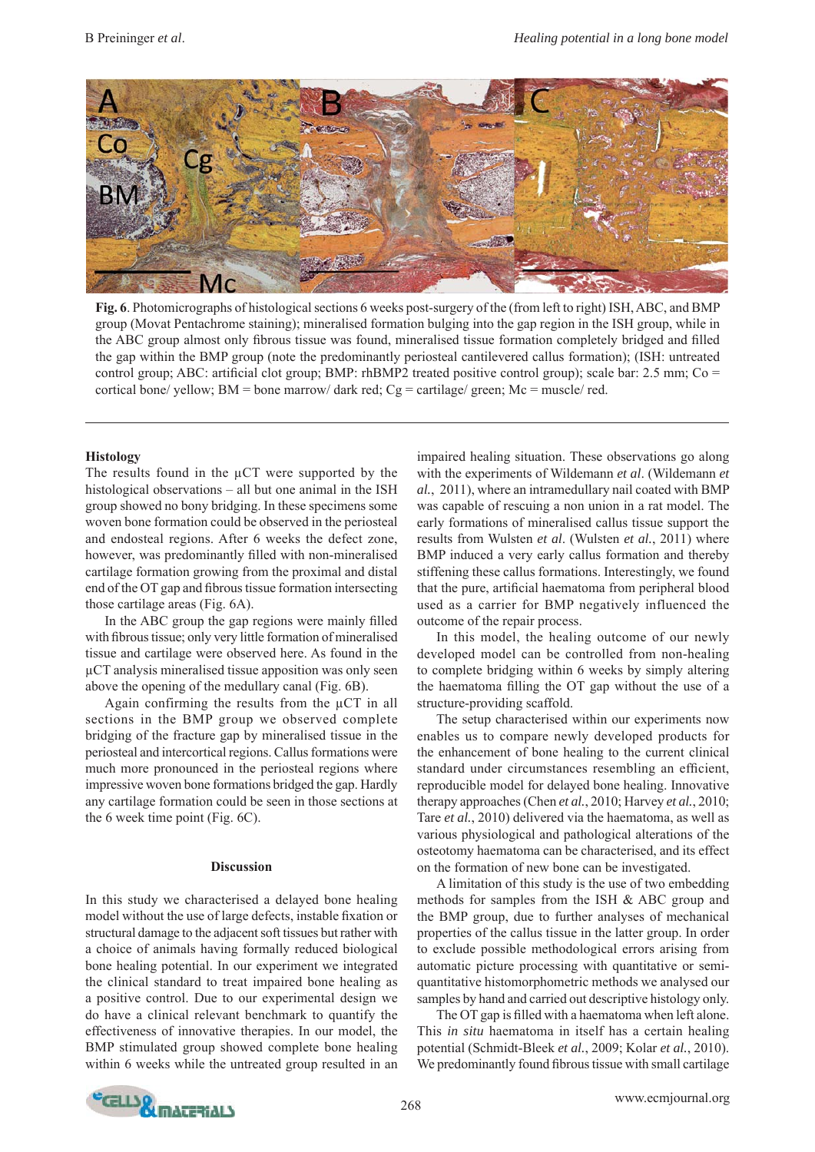

**Fig. 6**. Photomicrographs of histological sections 6 weeks post-surgery of the (from left to right) ISH, ABC, and BMP group (Movat Pentachrome staining); mineralised formation bulging into the gap region in the ISH group, while in the ABC group almost only fibrous tissue was found, mineralised tissue formation completely bridged and filled the gap within the BMP group (note the predominantly periosteal cantilevered callus formation); (ISH: untreated control group; ABC: artificial clot group; BMP: rhBMP2 treated positive control group); scale bar: 2.5 mm; Co = cortical bone/ yellow;  $BM =$  bone marrow/ dark red;  $Cg =$  cartilage/ green;  $Mc =$  muscle/ red.

#### **Histology**

The results found in the μCT were supported by the histological observations – all but one animal in the ISH group showed no bony bridging. In these specimens some woven bone formation could be observed in the periosteal and endosteal regions. After 6 weeks the defect zone, however, was predominantly filled with non-mineralised cartilage formation growing from the proximal and distal end of the OT gap and fibrous tissue formation intersecting those cartilage areas (Fig. 6A).

In the ABC group the gap regions were mainly filled with fibrous tissue; only very little formation of mineralised tissue and cartilage were observed here. As found in the μCT analysis mineralised tissue apposition was only seen above the opening of the medullary canal (Fig. 6B).

Again confirming the results from the  $\mu$ CT in all sections in the BMP group we observed complete bridging of the fracture gap by mineralised tissue in the periosteal and intercortical regions. Callus formations were much more pronounced in the periosteal regions where impressive woven bone formations bridged the gap. Hardly any cartilage formation could be seen in those sections at the 6 week time point (Fig. 6C).

#### **Discussion**

In this study we characterised a delayed bone healing model without the use of large defects, instable fixation or structural damage to the adjacent soft tissues but rather with a choice of animals having formally reduced biological bone healing potential. In our experiment we integrated the clinical standard to treat impaired bone healing as a positive control. Due to our experimental design we do have a clinical relevant benchmark to quantify the effectiveness of innovative therapies. In our model, the BMP stimulated group showed complete bone healing within 6 weeks while the untreated group resulted in an

impaired healing situation. These observations go along with the experiments of Wildemann *et al*. (Wildemann *et al.*, 2011), where an intramedullary nail coated with BMP was capable of rescuing a non union in a rat model. The early formations of mineralised callus tissue support the results from Wulsten *et al*. (Wulsten *et al.*, 2011) where BMP induced a very early callus formation and thereby stiffening these callus formations. Interestingly, we found that the pure, artificial haematoma from peripheral blood used as a carrier for BMP negatively influenced the outcome of the repair process.

 In this model, the healing outcome of our newly developed model can be controlled from non-healing to complete bridging within 6 weeks by simply altering the haematoma filling the OT gap without the use of a structure-providing scaffold.

 The setup characterised within our experiments now enables us to compare newly developed products for the enhancement of bone healing to the current clinical standard under circumstances resembling an efficient, reproducible model for delayed bone healing. Innovative therapy approaches (Chen *et al.*, 2010; Harvey *et al.*, 2010; Tare *et al.*, 2010) delivered via the haematoma, as well as various physiological and pathological alterations of the osteotomy haematoma can be characterised, and its effect on the formation of new bone can be investigated.

 A limitation of this study is the use of two embedding methods for samples from the ISH & ABC group and the BMP group, due to further analyses of mechanical properties of the callus tissue in the latter group. In order to exclude possible methodological errors arising from automatic picture processing with quantitative or semiquantitative histomorphometric methods we analysed our samples by hand and carried out descriptive histology only.

The OT gap is filled with a haematoma when left alone. This *in situ* haematoma in itself has a certain healing potential (Schmidt-Bleek *et al.*, 2009; Kolar *et al.*, 2010). We predominantly found fibrous tissue with small cartilage

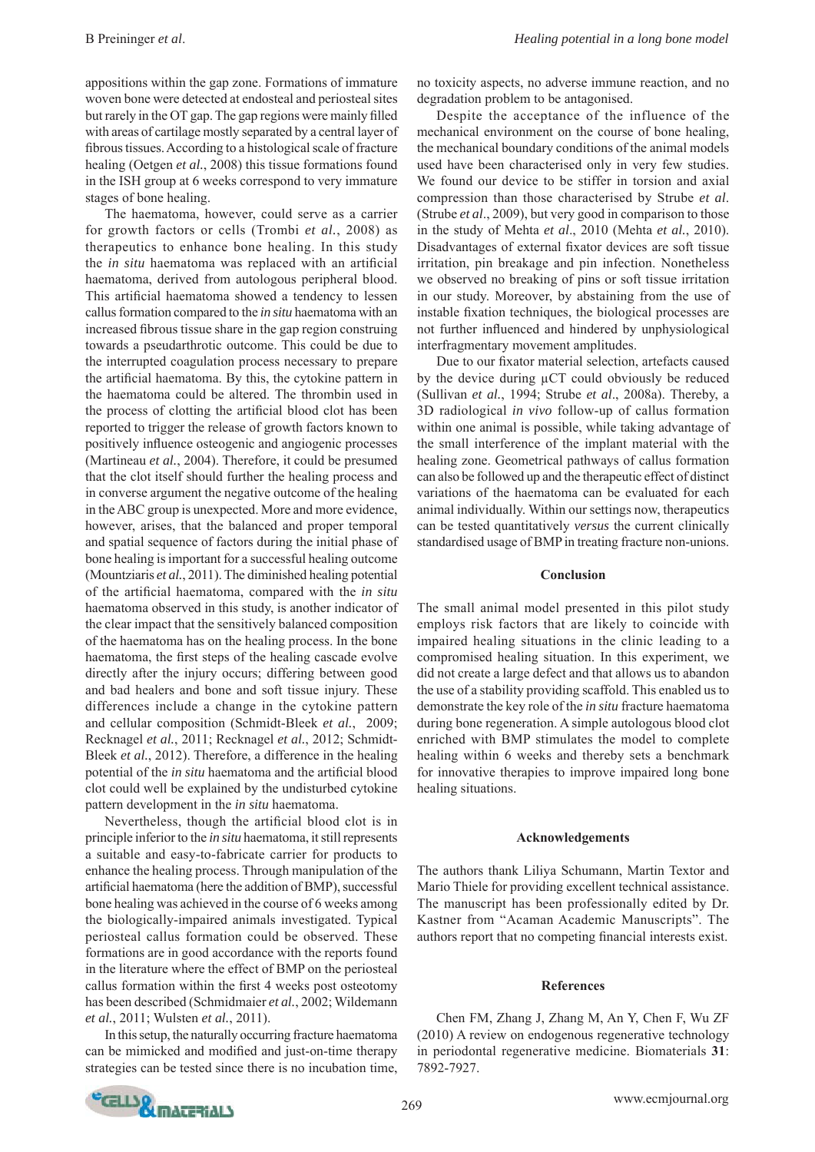appositions within the gap zone. Formations of immature woven bone were detected at endosteal and periosteal sites but rarely in the OT gap. The gap regions were mainly filled with areas of cartilage mostly separated by a central layer of fibrous tissues. According to a histological scale of fracture healing (Oetgen *et al.*, 2008) this tissue formations found in the ISH group at 6 weeks correspond to very immature stages of bone healing.

 The haematoma, however, could serve as a carrier for growth factors or cells (Trombi *et al.*, 2008) as therapeutics to enhance bone healing. In this study the *in situ* haematoma was replaced with an artificial haematoma, derived from autologous peripheral blood. This artificial haematoma showed a tendency to lessen callus formation compared to the *in situ* haematoma with an increased fibrous tissue share in the gap region construing towards a pseudarthrotic outcome. This could be due to the interrupted coagulation process necessary to prepare the artificial haematoma. By this, the cytokine pattern in the haematoma could be altered. The thrombin used in the process of clotting the artificial blood clot has been reported to trigger the release of growth factors known to positively influence osteogenic and angiogenic processes (Martineau *et al.*, 2004). Therefore, it could be presumed that the clot itself should further the healing process and in converse argument the negative outcome of the healing in the ABC group is unexpected. More and more evidence, however, arises, that the balanced and proper temporal and spatial sequence of factors during the initial phase of bone healing is important for a successful healing outcome (Mountziaris *et al.*, 2011). The diminished healing potential of the artificial haematoma, compared with the *in situ* haematoma observed in this study, is another indicator of the clear impact that the sensitively balanced composition of the haematoma has on the healing process. In the bone haematoma, the first steps of the healing cascade evolve directly after the injury occurs; differing between good and bad healers and bone and soft tissue injury. These differences include a change in the cytokine pattern and cellular composition (Schmidt-Bleek *et al.*, 2009; Recknagel *et al.*, 2011; Recknagel *et al.*, 2012; Schmidt-Bleek *et al.*, 2012). Therefore, a difference in the healing potential of the *in situ* haematoma and the artificial blood clot could well be explained by the undisturbed cytokine pattern development in the *in situ* haematoma.

Nevertheless, though the artificial blood clot is in principle inferior to the *in situ* haematoma, it still represents a suitable and easy-to-fabricate carrier for products to enhance the healing process. Through manipulation of the artificial haematoma (here the addition of BMP), successful bone healing was achieved in the course of 6 weeks among the biologically-impaired animals investigated. Typical periosteal callus formation could be observed. These formations are in good accordance with the reports found in the literature where the effect of BMP on the periosteal callus formation within the first 4 weeks post osteotomy has been described (Schmidmaier *et al.*, 2002; Wildemann *et al.*, 2011; Wulsten *et al.*, 2011).

 In this setup, the naturally occurring fracture haematoma can be mimicked and modified and just-on-time therapy strategies can be tested since there is no incubation time,

no toxicity aspects, no adverse immune reaction, and no degradation problem to be antagonised.

 Despite the acceptance of the influence of the mechanical environment on the course of bone healing, the mechanical boundary conditions of the animal models used have been characterised only in very few studies. We found our device to be stiffer in torsion and axial compression than those characterised by Strube *et al*. (Strube *et al*., 2009), but very good in comparison to those in the study of Mehta *et al*., 2010 (Mehta *et al.*, 2010). Disadvantages of external fixator devices are soft tissue irritation, pin breakage and pin infection. Nonetheless we observed no breaking of pins or soft tissue irritation in our study. Moreover, by abstaining from the use of instable fixation techniques, the biological processes are not further influenced and hindered by unphysiological interfragmentary movement amplitudes.

Due to our fixator material selection, artefacts caused by the device during μCT could obviously be reduced (Sullivan *et al.*, 1994; Strube *et al*., 2008a). Thereby, a 3D radiological *in vivo* follow-up of callus formation within one animal is possible, while taking advantage of the small interference of the implant material with the healing zone. Geometrical pathways of callus formation can also be followed up and the therapeutic effect of distinct variations of the haematoma can be evaluated for each animal individually. Within our settings now, therapeutics can be tested quantitatively *versus* the current clinically standardised usage of BMP in treating fracture non-unions.

#### **Conclusion**

The small animal model presented in this pilot study employs risk factors that are likely to coincide with impaired healing situations in the clinic leading to a compromised healing situation. In this experiment, we did not create a large defect and that allows us to abandon the use of a stability providing scaffold. This enabled us to demonstrate the key role of the *in situ* fracture haematoma during bone regeneration. A simple autologous blood clot enriched with BMP stimulates the model to complete healing within 6 weeks and thereby sets a benchmark for innovative therapies to improve impaired long bone healing situations.

#### **Acknowledgements**

The authors thank Liliya Schumann, Martin Textor and Mario Thiele for providing excellent technical assistance. The manuscript has been professionally edited by Dr. Kastner from "Acaman Academic Manuscripts". The authors report that no competing financial interests exist.

#### **References**

Chen FM, Zhang J, Zhang M, An Y, Chen F, Wu ZF (2010) A review on endogenous regenerative technology in periodontal regenerative medicine. Biomaterials **31**: 7892-7927.

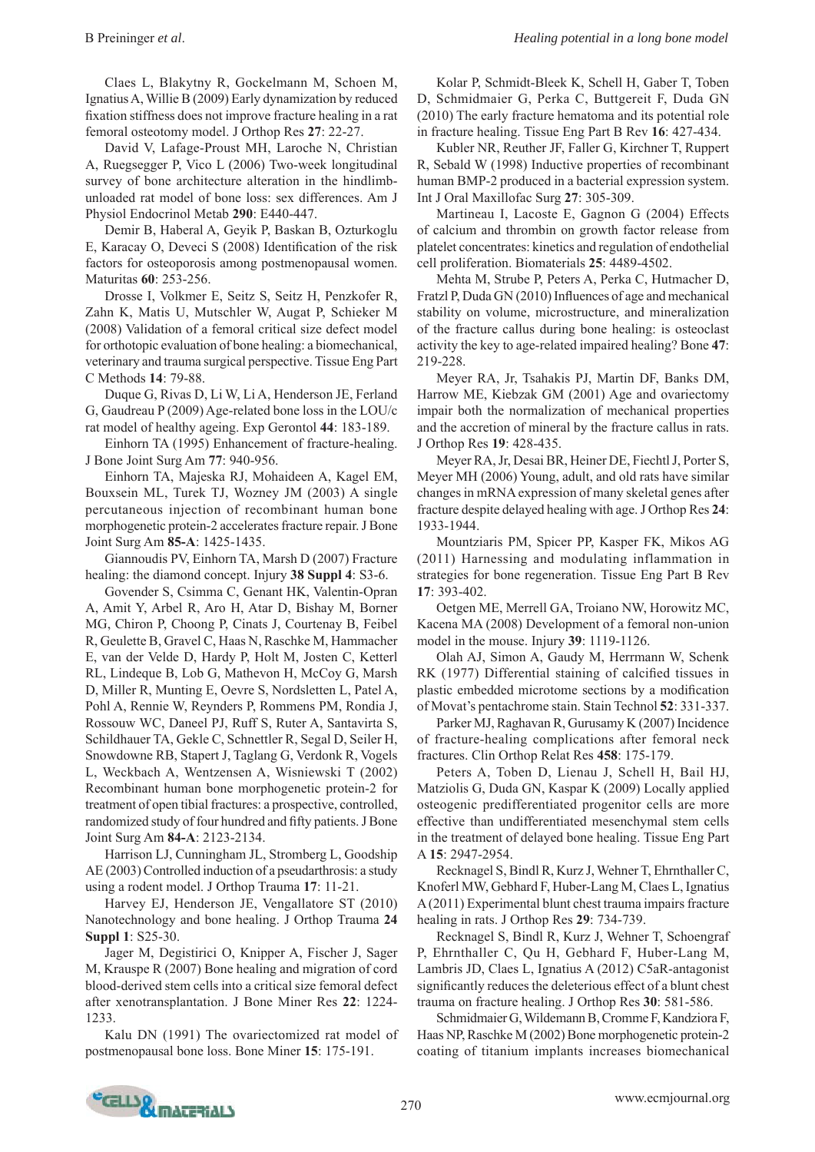Claes L, Blakytny R, Gockelmann M, Schoen M, Ignatius A, Willie B (2009) Early dynamization by reduced fixation stiffness does not improve fracture healing in a rat femoral osteotomy model. J Orthop Res **27**: 22-27.

David V, Lafage-Proust MH, Laroche N, Christian A, Ruegsegger P, Vico L (2006) Two-week longitudinal survey of bone architecture alteration in the hindlimbunloaded rat model of bone loss: sex differences. Am J Physiol Endocrinol Metab **290**: E440-447.

Demir B, Haberal A, Geyik P, Baskan B, Ozturkoglu E, Karacay O, Deveci S (2008) Identification of the risk factors for osteoporosis among postmenopausal women. Maturitas **60**: 253-256.

Drosse I, Volkmer E, Seitz S, Seitz H, Penzkofer R, Zahn K, Matis U, Mutschler W, Augat P, Schieker M (2008) Validation of a femoral critical size defect model for orthotopic evaluation of bone healing: a biomechanical, veterinary and trauma surgical perspective. Tissue Eng Part C Methods **14**: 79-88.

Duque G, Rivas D, Li W, Li A, Henderson JE, Ferland G, Gaudreau P (2009) Age-related bone loss in the LOU/c rat model of healthy ageing. Exp Gerontol **44**: 183-189.

Einhorn TA (1995) Enhancement of fracture-healing. J Bone Joint Surg Am **77**: 940-956.

 Ein horn TA, Majeska RJ, Mohaideen A, Kagel EM, Bouxsein ML, Turek TJ, Wozney JM (2003) A single percutaneous injection of recombinant human bone morphogenetic protein-2 accelerates fracture repair. J Bone Joint Surg Am **85-A**: 1425-1435.

Giannoudis PV, Einhorn TA, Marsh D (2007) Fracture healing: the diamond concept. Injury **38 Suppl 4**: S3-6.

 Gov ender S, Csimma C, Genant HK, Valentin-Opran A, Amit Y, Arbel R, Aro H, Atar D, Bishay M, Borner MG, Chiron P, Choong P, Cinats J, Courtenay B, Feibel R, Geulette B, Gravel C, Haas N, Raschke M, Hammacher E, van der Velde D, Hardy P, Holt M, Josten C, Ketterl RL, Lindeque B, Lob G, Mathevon H, McCoy G, Marsh D, Miller R, Munting E, Oevre S, Nordsletten L, Patel A, Pohl A, Rennie W, Reynders P, Rommens PM, Rondia J, Rossouw WC, Daneel PJ, Ruff S, Ruter A, Santavirta S, Schildhauer TA, Gekle C, Schnettler R, Segal D, Seiler H, Snowdowne RB, Stapert J, Taglang G, Verdonk R, Vogels L, Weckbach A, Wentzensen A, Wisniewski T (2002) Recombinant human bone morphogenetic protein-2 for treatment of open tibial fractures: a prospective, controlled, randomized study of four hundred and fifty patients. J Bone Joint Surg Am **84-A**: 2123-2134.

Harrison LJ, Cunningham JL, Stromberg L, Goodship AE (2003) Controlled induction of a pseudarthrosis: a study using a rodent model. J Orthop Trauma **17**: 11-21.

Harvey EJ, Henderson JE, Vengallatore ST (2010) Nanotechnology and bone healing. J Orthop Trauma **24 Suppl 1**: S25-30.

Jager M, Degistirici O, Knipper A, Fischer J, Sager M, Krauspe R (2007) Bone healing and migration of cord blood-derived stem cells into a critical size femoral defect after xenotransplantation. J Bone Miner Res **22**: 1224- 1233.

Kalu DN (1991) The ovariectomized rat model of postmenopausal bone loss. Bone Miner **15**: 175-191.

Kolar P, Schmidt-Bleek K, Schell H, Gaber T, Toben D, Schmidmaier G, Perka C, Buttgereit F, Duda GN (2010) The early fracture hematoma and its potential role in fracture healing. Tissue Eng Part B Rev **16**: 427-434.

Kubler NR, Reuther JF, Faller G, Kirchner T, Ruppert R, Sebald W (1998) Inductive properties of recombinant human BMP-2 produced in a bacterial expression system. Int J Oral Maxillofac Surg **27**: 305-309.

Martineau I, Lacoste E, Gagnon G (2004) Effects of calcium and thrombin on growth factor release from platelet concentrates: kinetics and regulation of endothelial cell proliferation. Biomaterials **25**: 4489-4502.

Mehta M, Strube P, Peters A, Perka C, Hutmacher D, Fratzl P, Duda GN (2010) Influences of age and mechanical stability on volume, microstructure, and mineralization of the fracture callus during bone healing: is osteoclast activity the key to age-related impaired healing? Bone **47**: 219-228.

Meyer RA, Jr, Tsahakis PJ, Martin DF, Banks DM, Harrow ME, Kiebzak GM (2001) Age and ovariectomy impair both the normalization of mechanical properties and the accretion of mineral by the fracture callus in rats. J Orthop Res **19**: 428-435.

 Meyer RA, Jr, Desai BR, Heiner DE, Fiechtl J, Porter S, Meyer MH (2006) Young, adult, and old rats have similar changes in mRNA expression of many skeletal genes after fracture despite delayed healing with age. J Orthop Res **24**: 1933-1944.

Mountziaris PM, Spicer PP, Kasper FK, Mikos AG (2011) Harnessing and modulating inflammation in strategies for bone regeneration. Tissue Eng Part B Rev **17**: 393-402.

Oetgen ME, Merrell GA, Troiano NW, Horowitz MC, Kacena MA (2008) Development of a femoral non-union model in the mouse. Injury **39**: 1119-1126.

Olah AJ, Simon A, Gaudy M, Herrmann W, Schenk RK (1977) Differential staining of calcified tissues in plastic embedded microtome sections by a modification of Movat's pentachrome stain. Stain Technol **52**: 331-337.

Parker MJ, Raghavan R, Gurusamy K (2007) Incidence of fracture-healing complications after femoral neck fractures. Clin Orthop Relat Res **458**: 175-179.

Peters A, Toben D, Lienau J, Schell H, Bail HJ, Matziolis G, Duda GN, Kaspar K (2009) Locally applied osteogenic predifferentiated progenitor cells are more effective than undifferentiated mesenchymal stem cells in the treatment of delayed bone healing. Tissue Eng Part A **15**: 2947-2954.

Recknagel S, Bindl R, Kurz J, Wehner T, Ehrnthaller C, Knoferl MW, Gebhard F, Huber-Lang M, Claes L, Ignatius A (2011) Experimental blunt chest trauma impairs fracture healing in rats. J Orthop Res **29**: 734-739.

Recknagel S, Bindl R, Kurz J, Wehner T, Schoengraf P, Ehrnthaller C, Qu H, Gebhard F, Huber-Lang M, Lambris JD, Claes L, Ignatius A (2012) C5aR-antagonist significantly reduces the deleterious effect of a blunt chest trauma on fracture healing. J Orthop Res **30**: 581-586.

Schmidmaier G, Wildemann B, Cromme F, Kandziora F, Haas NP, Raschke M (2002) Bone morphogenetic protein-2 coating of titanium implants increases biomechanical

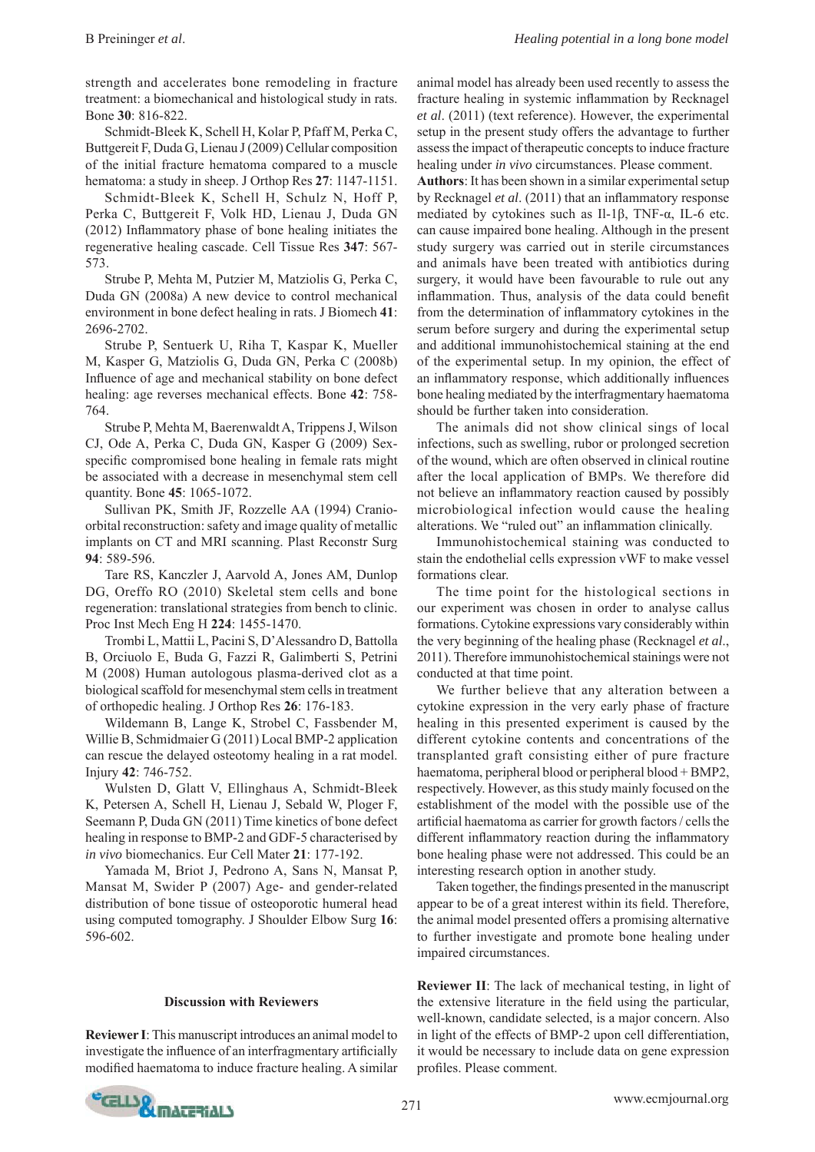strength and accelerates bone remodeling in fracture treatment: a biomechanical and histological study in rats. Bone **30**: 816-822.

Schmidt-Bleek K, Schell H, Kolar P, Pfaff M, Perka C, Buttgereit F, Duda G, Lienau J (2009) Cellular composition of the initial fracture hematoma compared to a muscle hematoma: a study in sheep. J Orthop Res **27**: 1147-1151.

Schmidt-Bleek K, Schell H, Schulz N, Hoff P, Perka C, Buttgereit F, Volk HD, Lienau J, Duda GN  $(2012)$  Inflammatory phase of bone healing initiates the regenerative healing cascade. Cell Tissue Res **347**: 567- 573.

Strube P, Mehta M, Putzier M, Matziolis G, Perka C, Duda GN (2008a) A new device to control mechanical environment in bone defect healing in rats. J Biomech **41**: 2696-2702.

Strube P, Sentuerk U, Riha T, Kaspar K, Mueller M, Kasper G, Matziolis G, Duda GN, Perka C (2008b) Influence of age and mechanical stability on bone defect healing: age reverses mechanical effects. Bone **42**: 758- 764.

Strube P, Mehta M, Baerenwaldt A, Trippens J, Wilson CJ, Ode A, Perka C, Duda GN, Kasper G (2009) Sexspecific compromised bone healing in female rats might be associated with a decrease in mesenchymal stem cell quantity. Bone **45**: 1065-1072.

Sullivan PK, Smith JF, Rozzelle AA (1994) Cranioorbital reconstruction: safety and image quality of metallic implants on CT and MRI scanning. Plast Reconstr Surg **94**: 589-596.

Tare RS, Kanczler J, Aarvold A, Jones AM, Dunlop DG, Oreffo RO (2010) Skeletal stem cells and bone regeneration: translational strategies from bench to clinic. Proc Inst Mech Eng H **224**: 1455-1470.

 Tro mbi L, Mattii L, Pacini S, D'Alessandro D, Battolla B, Orciuolo E, Buda G, Fazzi R, Galimberti S, Petrini M (2008) Human autologous plasma-derived clot as a biological scaffold for mesenchymal stem cells in treatment of orthopedic healing. J Orthop Res **26**: 176-183.

Wildemann B, Lange K, Strobel C, Fassbender M, Willie B, Schmidmaier G (2011) Local BMP-2 application can rescue the delayed osteotomy healing in a rat model. Injury **42**: 746-752.

Wulsten D, Glatt V, Ellinghaus A, Schmidt-Bleek K, Petersen A, Schell H, Lienau J, Sebald W, Ploger F, Seemann P, Duda GN (2011) Time kinetics of bone defect healing in response to BMP-2 and GDF-5 characterised by *in vivo* biomechanics. Eur Cell Mater **21**: 177-192.

Yamada M, Briot J, Pedrono A, Sans N, Mansat P, Mansat M, Swider P (2007) Age- and gender-related distribution of bone tissue of osteoporotic humeral head using computed tomography. J Shoulder Elbow Surg **16**: 596-602.

#### **Discussion with Reviewers**

**Reviewer I**: This manuscript introduces an animal model to investigate the influence of an interfragmentary artificially modified haematoma to induce fracture healing. A similar animal model has already been used recently to assess the fracture healing in systemic inflammation by Recknagel *et al*. (2011) (text reference). However, the experimental setup in the present study offers the advantage to further assess the impact of therapeutic concepts to induce fracture healing under *in vivo* circumstances. Please comment.

**Authors**: It has been shown in a similar experimental setup by Recknagel *et al.* (2011) that an inflammatory response mediated by cytokines such as Il-1β, TNF-α, IL-6 etc. can cause impaired bone healing. Although in the present study surgery was carried out in sterile circumstances and animals have been treated with antibiotics during surgery, it would have been favourable to rule out any inflammation. Thus, analysis of the data could benefit from the determination of inflammatory cytokines in the serum before surgery and during the experimental setup and additional immunohistochemical staining at the end of the experimental setup. In my opinion, the effect of an inflammatory response, which additionally influences bone healing mediated by the interfragmentary haematoma should be further taken into consideration.

 The animals did not show clinical sings of local infections, such as swelling, rubor or prolonged secretion of the wound, which are often observed in clinical routine after the local application of BMPs. We therefore did not believe an inflammatory reaction caused by possibly microbiological infection would cause the healing alterations. We "ruled out" an inflammation clinically.

 Immunohistochemical staining was conducted to stain the endothelial cells expression vWF to make vessel formations clear.

 The time point for the histological sections in our experiment was chosen in order to analyse callus formations. Cytokine expressions vary considerably within the very beginning of the healing phase (Recknagel *et al*., 2011). Therefore immunohistochemical stainings were not conducted at that time point.

 We further believe that any alteration between a cytokine expression in the very early phase of fracture healing in this presented experiment is caused by the different cytokine contents and concentrations of the transplanted graft consisting either of pure fracture haematoma, peripheral blood or peripheral blood + BMP2, respectively. However, as this study mainly focused on the establishment of the model with the possible use of the artificial haematoma as carrier for growth factors / cells the different inflammatory reaction during the inflammatory bone healing phase were not addressed. This could be an interesting research option in another study.

Taken together, the findings presented in the manuscript appear to be of a great interest within its field. Therefore, the animal model presented offers a promising alternative to further investigate and promote bone healing under impaired circumstances.

**Reviewer II**: The lack of mechanical testing, in light of the extensive literature in the field using the particular, well-known, candidate selected, is a major concern. Also in light of the effects of BMP-2 upon cell differentiation, it would be necessary to include data on gene expression profiles. Please comment.